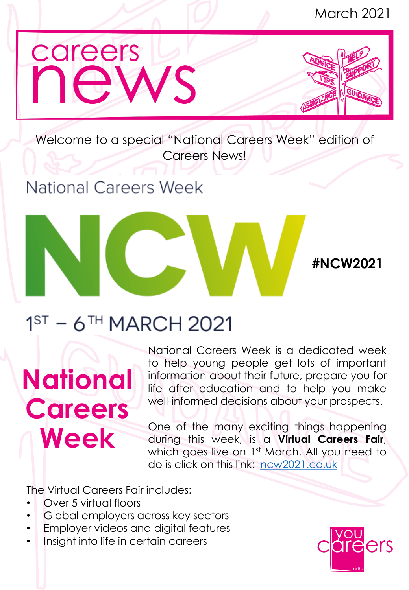

Welcome to a special "National Careers Week" edition of Careers News!

### **National Careers Week**

**#NCW2021**

### $1<sup>ST</sup>$  – 6<sup>TH</sup> MARCH 2021

# **National Careers Week**

National Careers Week is a dedicated week to help young people get lots of important information about their future, prepare you for life after education and to help you make well-informed decisions about your prospects.

One of the many exciting things happening during this week, is a **Virtual Careers Fair**, which goes live on 1st March. All you need to do is click on this link: [ncw2021.co.uk](https://www.ncw2021.co.uk/)

The Virtual Careers Fair includes:

- Over 5 virtual floors
- Global employers across key sectors
- Employer videos and digital features
- Insight into life in certain careers

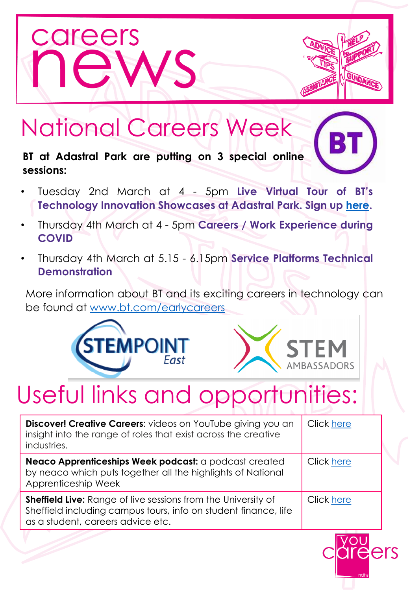



### National Careers Week

**BT at Adastral Park are putting on 3 special online sessions:**

- Tuesday 2nd March at 4 5pm **Live Virtual Tour of BT's Technology Innovation Showcases at Adastral Park. Sign up [here.](https://setpointherts-org-uk.zoom.us/webinar/register/WN_YZtFG6e2RjqKskgt-cODEQ)**
- Thursday 4th March at 4 5pm **Careers / Work Experience during COVID**
- Thursday 4th March at 5.15 6.15pm **Service Platforms Technical Demonstration**

More information about BT and its exciting careers in technology can be found at [www.bt.com/earlycareers](http://www.bt.com/earlycareers)





### Useful links and opportunities:

| Discover! Creative Careers: videos on YouTube giving you an<br>insight into the range of roles that exist across the creative<br>industries.                                 | Click here |
|------------------------------------------------------------------------------------------------------------------------------------------------------------------------------|------------|
| Neaco Apprenticeships Week podcast: a podcast created<br>by neaco which puts together all the highlights of National<br>Apprenticeship Week                                  | Click here |
| <b>Sheffield Live:</b> Range of live sessions from the University of<br>Sheffield including campus tours, info on student finance, life<br>as a student, careers advice etc. | Click here |

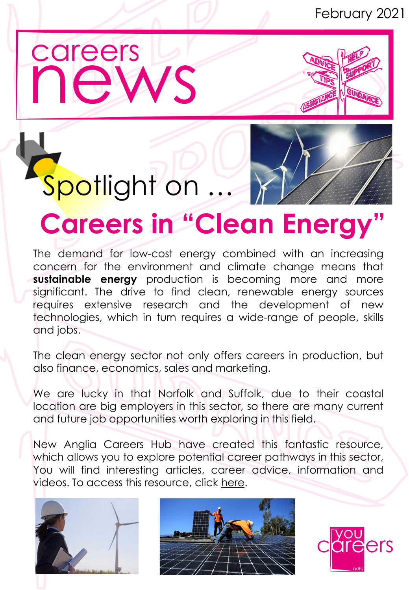### February 2021





# Spotlight on ...

## **Careers in "Clean Energy"**

The demand for low-cost energy combined with an increasing concern for the environment and climate change means that **sustainable energy** production is becoming more and more significant. The drive to find clean, renewable energy sources requires extensive research and the development of new technologies, which in turn requires a wide-range of people, skills and jobs.

The clean energy sector not only offers careers in production, but also finance, economics, sales and marketing.

We are lucky in that Norfolk and Suffolk, due to their coastal location are big employers in this sector, so there are many current and future job opportunities worth exploring in this field.

New Anglia Careers Hub have created this fantastic resource, which allows you to explore potential career pathways in this sector, You will find interesting articles, career advice, information and videos. To access this resource, click [here](https://padlet.com/New_Anglia_Careers_Hub/cs334u3q3t052vg4).





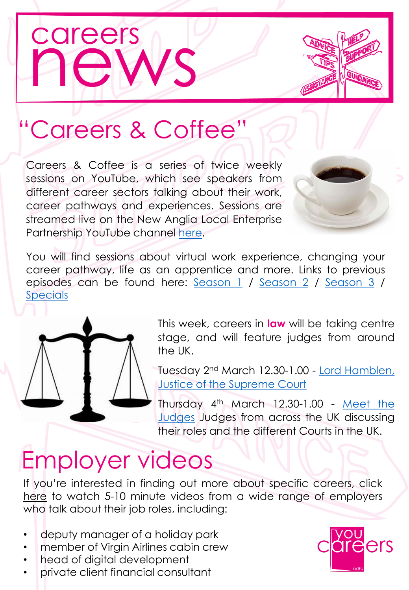

### "Careers & Coffee"

Careers & Coffee is a series of twice weekly sessions on YouTube, which see speakers from different career sectors talking about their work, career pathways and experiences. Sessions are streamed live on the New Anglia Local Enterprise Partnership YouTube channel [here.](https://www.youtube.com/c/NewAngliaLocalEnterprisePartnership/videos)



You will find sessions about virtual work experience, changing your career pathway, life as an apprentice and more. Links to previous episodes can be found here: [Season](https://eur03.safelinks.protection.outlook.com/?url=https%3A%2F%2Fyoutube.com%2Fplaylist%3Flist%3DPLRnKexbbDeeBB3cI2DsiVAjlBLotDwU9t&data=04%7C01%7CAFox%40ndhs.org.uk%7C1130902499f64e3a321b08d8d7107a94%7Cee6ca979960b4e1eaf9d28fbfdc31533%7C1%7C0%7C637495813385418095%7CUnknown%7CTWFpbGZsb3d8eyJWIjoiMC4wLjAwMDAiLCJQIjoiV2luMzIiLCJBTiI6Ik1haWwiLCJXVCI6Mn0%3D%7C1000&sdata=KWBLDGTA8YgLS0Cw8HXMuXs%2Bd9Y%2FaKOMDPoUFwb%2FYEQ%3D&reserved=0) 1 / Season 2 / Season 3 / [Specials](https://eur03.safelinks.protection.outlook.com/?url=https%3A%2F%2Fyoutube.com%2Fplaylist%3Flist%3DPLRnKexbbDeeCeH_v-3GkI6DZJ2TfDR4JB&data=04%7C01%7CAFox%40ndhs.org.uk%7C1130902499f64e3a321b08d8d7107a94%7Cee6ca979960b4e1eaf9d28fbfdc31533%7C1%7C0%7C637495813385423072%7CUnknown%7CTWFpbGZsb3d8eyJWIjoiMC4wLjAwMDAiLCJQIjoiV2luMzIiLCJBTiI6Ik1haWwiLCJXVCI6Mn0%3D%7C1000&sdata=Tv%2B6IxW0ys7%2BOepNNOhQJpCEvEEPTB1kZ4LWm2e9mHI%3D&reserved=0)



This week, careers in **law** will be taking centre stage, and will feature judges from around the UK.

Tuesday 2<sup>nd</sup> March [12.30-1.00](https://eur03.safelinks.protection.outlook.com/?url=https%3A%2F%2Fwww.youtube.com%2Fwatch%3Fv%3DQ2RRY_vF88k&data=04%7C01%7CAFox%40ndhs.org.uk%7C81e638db593a425fb45508d8d9b03ce9%7Cee6ca979960b4e1eaf9d28fbfdc31533%7C1%7C0%7C637498698245928968%7CUnknown%7CTWFpbGZsb3d8eyJWIjoiMC4wLjAwMDAiLCJQIjoiV2luMzIiLCJBTiI6Ik1haWwiLCJXVCI6Mn0%3D%7C1000&sdata=XFaTXYXdemVQv1s5vZFfMFWkSCeMxxtrAkPPQqLLpQE%3D&reserved=0) - <u>Lord Hamblen,</u> Justice of the Supreme Court

Thursday 4<sup>th</sup> March 12.30-1.00 - <u>Meet the</u> Judges Judges from across the UK [discussing](https://eur03.safelinks.protection.outlook.com/?url=https%3A%2F%2Fwww.youtube.com%2Fwatch%3Fv%3DV00SYqGHNZc&data=04%7C01%7CAFox%40ndhs.org.uk%7C81e638db593a425fb45508d8d9b03ce9%7Cee6ca979960b4e1eaf9d28fbfdc31533%7C1%7C0%7C637498698245938931%7CUnknown%7CTWFpbGZsb3d8eyJWIjoiMC4wLjAwMDAiLCJQIjoiV2luMzIiLCJBTiI6Ik1haWwiLCJXVCI6Mn0%3D%7C1000&sdata=AYlFkR%2FImG%2FqpiQJX4Aw8IYCjZm39w3ddT9cfHdikKc%3D&reserved=0) their roles and the different Courts in the UK.

### Employer videos

If you're interested in finding out more about specific careers, click [here](https://www.youtube.com/playlist?list=PLRnKexbbDeeBNJSfSLLVOWEE1f-4yihy6) to watch 5-10 minute videos from a wide range of employers who talk about their job roles, including:

- deputy manager of a holiday park
- member of Virgin Airlines cabin crew
- head of digital development
- private client financial consultant

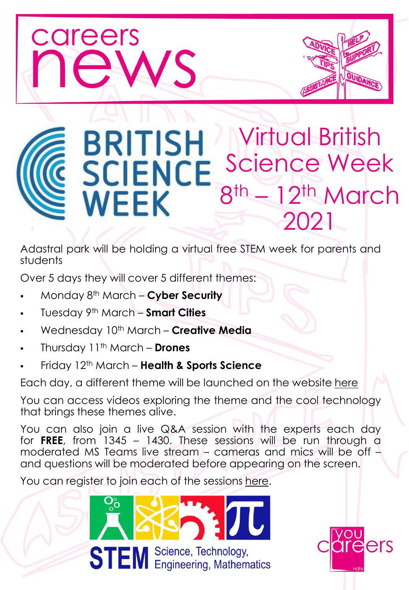

Adastral park will be holding a virtual free STEM week for parents and students

Over 5 days they will cover 5 different themes:

- Monday 8 th March **Cyber Security**
- Tuesday 9 th March **Smart Cities**
- Wednesday 10<sup>th</sup> March **Creative Media**
- Thursday 11th March **Drones**

careers

▪ Friday 12th March – **Health & Sports Science**

Each day, a different theme will be launched on the website [here](https://atadastral.co.uk/bsw/)

You can access videos exploring the theme and the cool technology that brings these themes alive.

You can also join a live Q&A session with the experts each day for **FREE**, from 1345 – 1430. These sessions will be run through a moderated MS Teams live stream – cameras and mics will be off – and questions will be moderated before appearing on the screen.

You can register to join each of the sessions [here.](https://stem.wsc.ac.uk/stemtastic21/)